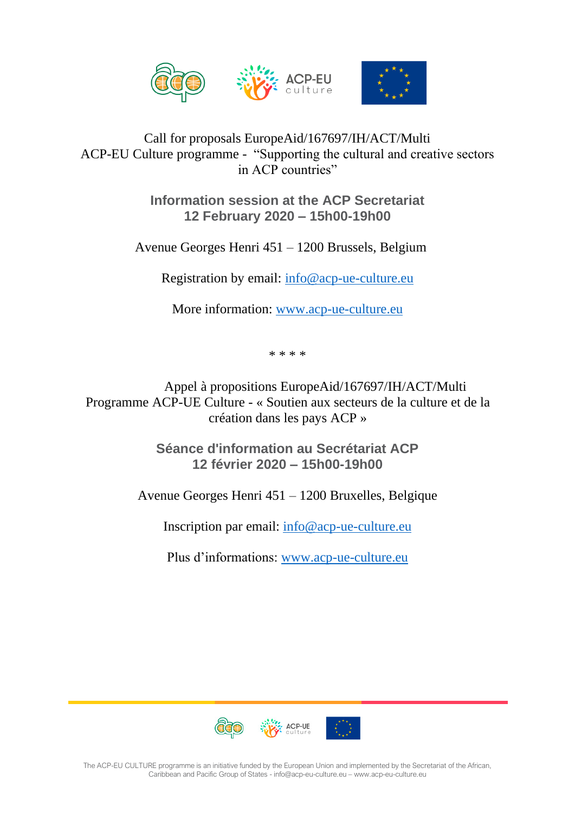

## Call for proposals EuropeAid/167697/IH/ACT/Multi ACP-EU Culture programme - "Supporting the cultural and creative sectors in ACP countries"

**Information session at the ACP Secretariat 12 February 2020 – 15h00-19h00**

Avenue Georges Henri 451 – 1200 Brussels, Belgium

Registration by email: [info@acp-ue-culture.eu](mailto:info@acp-ue-culture.eu)

More information: [www.acp-ue-culture.eu](http://www.acp-ue-culture.eu/)

\* \* \* \*

Appel à propositions EuropeAid/167697/IH/ACT/Multi Programme ACP-UE Culture - « Soutien aux secteurs de la culture et de la création dans les pays ACP »

> **Séance d'information au Secrétariat ACP 12 février 2020 – 15h00-19h00**

Avenue Georges Henri 451 – 1200 Bruxelles, Belgique

Inscription par email: [info@acp-ue-culture.eu](mailto:info@acp-ue-culture.eu)

Plus d'informations: [www.acp-ue-culture.eu](http://www.acp-ue-culture.eu/)